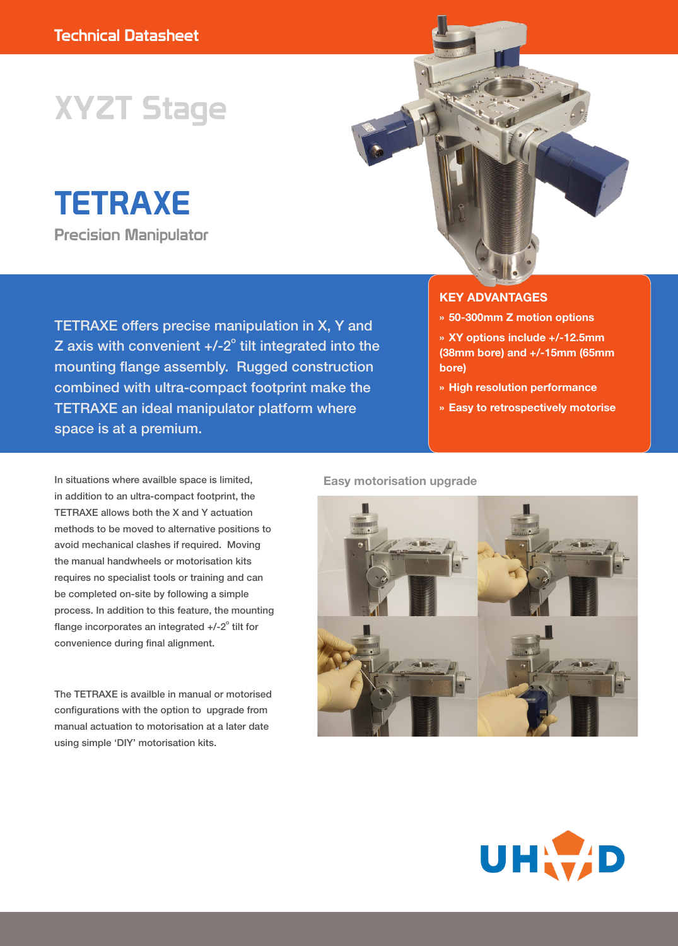# XYZT Stage

TETRAXE Precision Manipulator



#### **KEY ADVANTAGES**

- **» 50-300mm Z motion options**
- **» XY options include +/-12.5mm (38mm bore) and +/-15mm (65mm bore)**
- **» High resolution performance**
- **» Easy to retrospectively motorise**

In situations where availble space is limited, in addition to an ultra-compact footprint, the TETRAXE allows both the X and Y actuation methods to be moved to alternative positions to avoid mechanical clashes if required. Moving the manual handwheels or motorisation kits requires no specialist tools or training and can be completed on-site by following a simple process. In addition to this feature, the mounting flange incorporates an integrated  $+/-2$ ° tilt for convenience during final alignment.

The TETRAXE is availble in manual or motorised configurations with the option to upgrade from manual actuation to motorisation at a later date using simple 'DIY' motorisation kits.

#### **Easy motorisation upgrade**



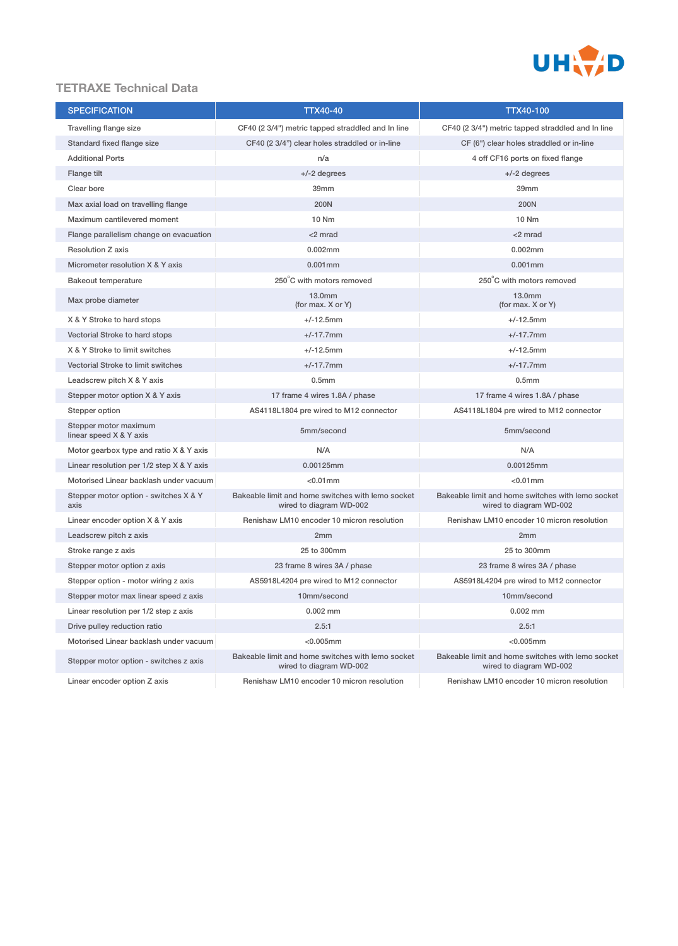

# **TETRAXE Technical Data**

| <b>SPECIFICATION</b>                             | TTX40-40                                                                                                                                                     | <b>TTX40-100</b>                                                             |  |
|--------------------------------------------------|--------------------------------------------------------------------------------------------------------------------------------------------------------------|------------------------------------------------------------------------------|--|
| Travelling flange size                           | CF40 (2 3/4") metric tapped straddled and In line                                                                                                            | CF40 (2 3/4") metric tapped straddled and In line                            |  |
| Standard fixed flange size                       | CF40 (2 3/4") clear holes straddled or in-line                                                                                                               | CF (6") clear holes straddled or in-line                                     |  |
| <b>Additional Ports</b>                          | n/a                                                                                                                                                          | 4 off CF16 ports on fixed flange                                             |  |
| Flange tilt                                      | $+/-2$ degrees                                                                                                                                               | $+/-2$ degrees                                                               |  |
| Clear bore                                       | 39mm                                                                                                                                                         | 39mm                                                                         |  |
| Max axial load on travelling flange              | 200N                                                                                                                                                         | 200N                                                                         |  |
| Maximum cantilevered moment                      | 10 Nm                                                                                                                                                        | 10 Nm                                                                        |  |
| Flange parallelism change on evacuation          | <2 mrad                                                                                                                                                      | <2 mrad                                                                      |  |
| <b>Resolution Z axis</b>                         | 0.002mm<br>0.002mm                                                                                                                                           |                                                                              |  |
| Micrometer resolution X & Y axis                 | $0.001$ mm                                                                                                                                                   | $0.001$ mm                                                                   |  |
| <b>Bakeout temperature</b>                       | 250°C with motors removed                                                                                                                                    | 250°C with motors removed                                                    |  |
| Max probe diameter                               | 13.0mm<br>(for max. X or Y)                                                                                                                                  | 13.0mm<br>(for max. X or Y)                                                  |  |
| X & Y Stroke to hard stops                       | $+/-12.5$ mm                                                                                                                                                 | $+/-12.5$ mm                                                                 |  |
| Vectorial Stroke to hard stops                   | $+/-17.7$ mm                                                                                                                                                 | $+/-17.7$ mm                                                                 |  |
| X & Y Stroke to limit switches                   | $+/-12.5$ mm                                                                                                                                                 | $+/-12.5$ mm                                                                 |  |
| Vectorial Stroke to limit switches               | $+/-17.7$ mm                                                                                                                                                 | $+/-17.7$ mm                                                                 |  |
| Leadscrew pitch X & Y axis                       | 0.5 <sub>mm</sub>                                                                                                                                            | 0.5 <sub>mm</sub>                                                            |  |
| Stepper motor option X & Y axis                  | 17 frame 4 wires 1.8A / phase                                                                                                                                | 17 frame 4 wires 1.8A / phase                                                |  |
| Stepper option                                   | AS4118L1804 pre wired to M12 connector                                                                                                                       | AS4118L1804 pre wired to M12 connector                                       |  |
| Stepper motor maximum<br>linear speed X & Y axis | 5mm/second                                                                                                                                                   | 5mm/second                                                                   |  |
| Motor gearbox type and ratio X & Y axis          | N/A                                                                                                                                                          | N/A                                                                          |  |
| Linear resolution per $1/2$ step $X & Y$ axis    | 0.00125mm<br>0.00125mm                                                                                                                                       |                                                                              |  |
| Motorised Linear backlash under vacuum           | $< 0.01$ mm                                                                                                                                                  | $< 0.01$ mm                                                                  |  |
| Stepper motor option - switches X & Y<br>axis    | Bakeable limit and home switches with lemo socket<br>wired to diagram WD-002                                                                                 | Bakeable limit and home switches with lemo socket<br>wired to diagram WD-002 |  |
| Linear encoder option X & Y axis                 | Renishaw LM10 encoder 10 micron resolution                                                                                                                   | Renishaw LM10 encoder 10 micron resolution                                   |  |
| Leadscrew pitch z axis                           | 2mm                                                                                                                                                          | 2 <sub>mm</sub>                                                              |  |
| Stroke range z axis                              | 25 to 300mm                                                                                                                                                  | 25 to 300mm                                                                  |  |
| Stepper motor option z axis                      | 23 frame 8 wires 3A / phase                                                                                                                                  | 23 frame 8 wires 3A / phase                                                  |  |
| Stepper option - motor wiring z axis             | AS5918L4204 pre wired to M12 connector                                                                                                                       | AS5918L4204 pre wired to M12 connector                                       |  |
| Stepper motor max linear speed z axis            | 10mm/second                                                                                                                                                  | 10mm/second                                                                  |  |
| Linear resolution per 1/2 step z axis            | $0.002$ mm                                                                                                                                                   | $0.002$ mm                                                                   |  |
| Drive pulley reduction ratio                     | 2.5:1                                                                                                                                                        | 2.5:1                                                                        |  |
| Motorised Linear backlash under vacuum           | $<$ 0.005 $mm$                                                                                                                                               | $< 0.005$ mm                                                                 |  |
| Stepper motor option - switches z axis           | Bakeable limit and home switches with lemo socket<br>Bakeable limit and home switches with lemo socket<br>wired to diagram WD-002<br>wired to diagram WD-002 |                                                                              |  |
| Linear encoder option Z axis                     | Renishaw LM10 encoder 10 micron resolution                                                                                                                   | Renishaw LM10 encoder 10 micron resolution                                   |  |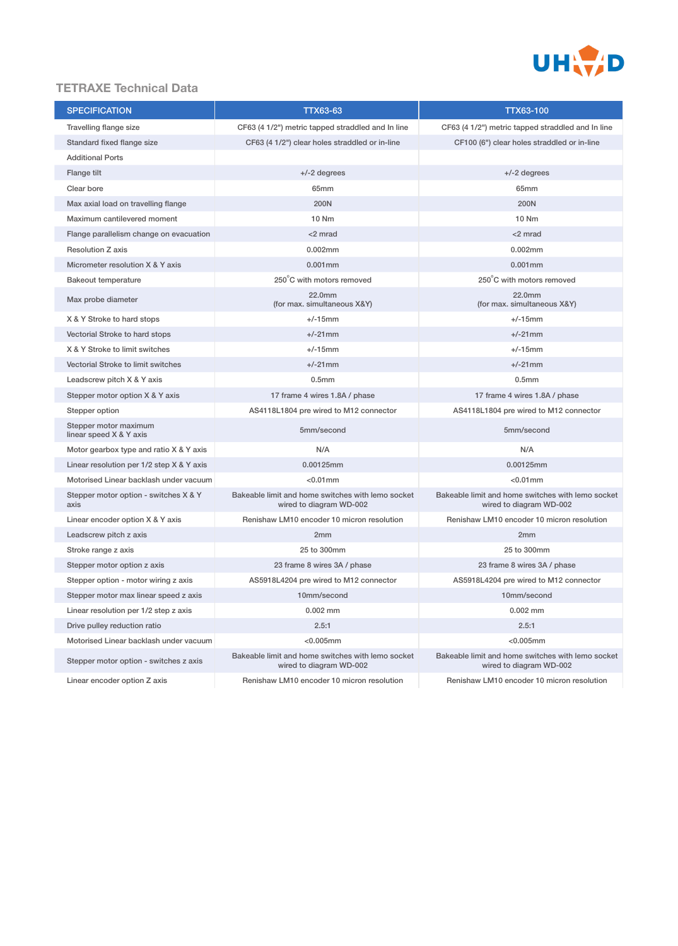

# **TETRAXE Technical Data**

| <b>SPECIFICATION</b>                                                                                                   | TTX63-63                                                                     | <b>TTX63-100</b>                                                             |  |
|------------------------------------------------------------------------------------------------------------------------|------------------------------------------------------------------------------|------------------------------------------------------------------------------|--|
| Travelling flange size                                                                                                 | CF63 (4 1/2") metric tapped straddled and In line                            | CF63 (4 1/2") metric tapped straddled and In line                            |  |
| Standard fixed flange size                                                                                             | CF63 (4 1/2") clear holes straddled or in-line                               | CF100 (6") clear holes straddled or in-line                                  |  |
| <b>Additional Ports</b>                                                                                                |                                                                              |                                                                              |  |
| Flange tilt                                                                                                            | $+/-2$ degrees                                                               | $+/-2$ degrees                                                               |  |
| Clear bore                                                                                                             | 65mm                                                                         | 65mm                                                                         |  |
| Max axial load on travelling flange                                                                                    | <b>200N</b>                                                                  | 200N                                                                         |  |
| Maximum cantilevered moment                                                                                            | 10 Nm                                                                        | 10 Nm                                                                        |  |
| Flange parallelism change on evacuation                                                                                | <2 mrad                                                                      | $<$ 2 mrad                                                                   |  |
| Resolution Z axis                                                                                                      | 0.002mm                                                                      | 0.002mm                                                                      |  |
| Micrometer resolution X & Y axis                                                                                       | $0.001$ mm                                                                   | $0.001$ mm                                                                   |  |
| <b>Bakeout temperature</b>                                                                                             | 250°C with motors removed                                                    | 250°C with motors removed                                                    |  |
| Max probe diameter                                                                                                     | 22.0mm<br>(for max. simultaneous X&Y)                                        | 22.0mm<br>(for max. simultaneous X&Y)                                        |  |
| X & Y Stroke to hard stops                                                                                             | $+/-15$ mm                                                                   | $+/-15$ mm                                                                   |  |
| Vectorial Stroke to hard stops                                                                                         | $+/-21$ mm                                                                   | $+/-21$ mm                                                                   |  |
| X & Y Stroke to limit switches                                                                                         | $+/-15$ mm                                                                   | $+/-15$ mm                                                                   |  |
| Vectorial Stroke to limit switches                                                                                     | $+/-21$ mm                                                                   | $+/-21$ mm                                                                   |  |
| Leadscrew pitch X & Y axis                                                                                             | 0.5 <sub>mm</sub>                                                            | 0.5 <sub>mm</sub>                                                            |  |
| Stepper motor option X & Y axis                                                                                        | 17 frame 4 wires 1.8A / phase                                                | 17 frame 4 wires 1.8A / phase                                                |  |
| Stepper option                                                                                                         | AS4118L1804 pre wired to M12 connector                                       | AS4118L1804 pre wired to M12 connector                                       |  |
| Stepper motor maximum<br>linear speed X & Y axis                                                                       | 5mm/second                                                                   | 5mm/second                                                                   |  |
| Motor gearbox type and ratio X & Y axis                                                                                | N/A                                                                          | N/A                                                                          |  |
| Linear resolution per 1/2 step X & Y axis                                                                              | 0.00125mm<br>0.00125mm                                                       |                                                                              |  |
| Motorised Linear backlash under vacuum                                                                                 | $< 0.01$ mm                                                                  | $< 0.01$ mm                                                                  |  |
| Stepper motor option - switches X & Y<br>axis                                                                          | Bakeable limit and home switches with lemo socket<br>wired to diagram WD-002 | Bakeable limit and home switches with lemo socket<br>wired to diagram WD-002 |  |
| Linear encoder option X & Y axis                                                                                       | Renishaw LM10 encoder 10 micron resolution                                   | Renishaw LM10 encoder 10 micron resolution                                   |  |
| Leadscrew pitch z axis                                                                                                 | 2 <sub>mm</sub>                                                              | 2mm                                                                          |  |
| Stroke range z axis                                                                                                    | 25 to 300mm                                                                  | 25 to 300mm                                                                  |  |
| Stepper motor option z axis                                                                                            | 23 frame 8 wires 3A / phase                                                  | 23 frame 8 wires 3A / phase                                                  |  |
| Stepper option - motor wiring z axis                                                                                   | AS5918L4204 pre wired to M12 connector                                       | AS5918L4204 pre wired to M12 connector                                       |  |
| Stepper motor max linear speed z axis                                                                                  | 10mm/second                                                                  | 10mm/second                                                                  |  |
| Linear resolution per 1/2 step z axis                                                                                  | $0.002$ mm                                                                   | $0.002$ mm                                                                   |  |
| Drive pulley reduction ratio                                                                                           | 2.5:1                                                                        | 2.5:1                                                                        |  |
| Motorised Linear backlash under vacuum                                                                                 | $<$ 0.005 $mm$                                                               | $<$ 0.005 $mm$                                                               |  |
| Bakeable limit and home switches with lemo socket<br>Stepper motor option - switches z axis<br>wired to diagram WD-002 |                                                                              | Bakeable limit and home switches with lemo socket<br>wired to diagram WD-002 |  |
| Linear encoder option Z axis                                                                                           | Renishaw LM10 encoder 10 micron resolution                                   | Renishaw LM10 encoder 10 micron resolution                                   |  |